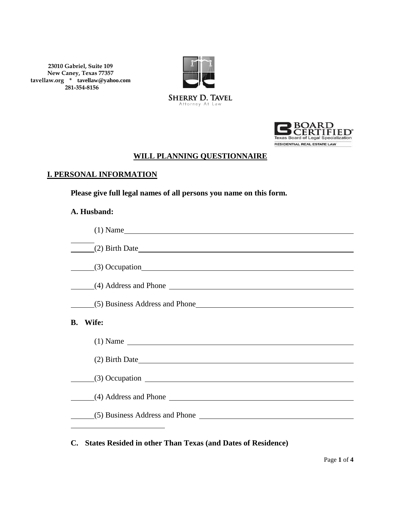**23010 Gabriel, Suite 109 New Caney, Texas 77357 tavellaw.org \* [tavellaw@yahoo.com](mailto:Tavellaw@yahoo.com) 281-354-8156**





## **WILL PLANNING QUESTIONNAIRE**

### **I. PERSONAL INFORMATION**

**Please give full legal names of all persons you name on this form.**

#### **A. Husband:**

|    | $(1)$ Name                       |
|----|----------------------------------|
|    | (2) Birth Date                   |
|    | $(3)$ Occupation                 |
|    | (4) Address and Phone            |
|    |                                  |
| В. | Wife:                            |
|    | $(1)$ Name $\qquad$              |
|    |                                  |
|    | $(3)$ Occupation $\qquad \qquad$ |
|    |                                  |
|    |                                  |
|    |                                  |

# **C. States Resided in other Than Texas (and Dates of Residence)**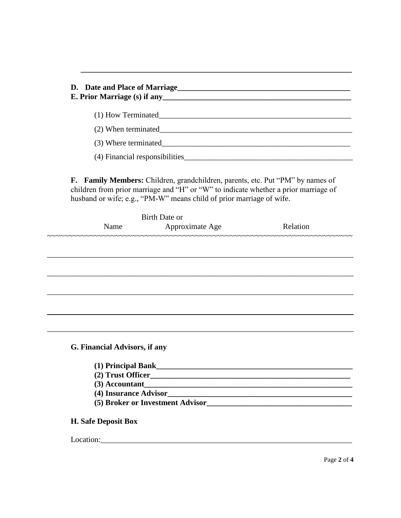| D. Date and Place of Marriage<br>E. Prior Marriage (s) if any                                                                                                                                                                                 |  |  |  |
|-----------------------------------------------------------------------------------------------------------------------------------------------------------------------------------------------------------------------------------------------|--|--|--|
| (1) How Terminated                                                                                                                                                                                                                            |  |  |  |
| (2) When terminated                                                                                                                                                                                                                           |  |  |  |
| (3) Where terminated                                                                                                                                                                                                                          |  |  |  |
| (4) Financial responsibilities                                                                                                                                                                                                                |  |  |  |
| F. Family Members: Children, grandchildren, parents, etc. Put "PM" by names of<br>children from prior marriage and "H" or "W" to indicate whether a prior marriage of<br>husband or wife; e.g., "PM-W" means child of prior marriage of wife. |  |  |  |

|                               | <b>Birth Date or</b>                 |           |
|-------------------------------|--------------------------------------|-----------|
| Name                          | Approximate Age                      | Relation  |
|                               | ~~~~~~~~~~~~~~~~~~~~~~~~~~~~~~~~~~~~ | ~~~~~~~~~ |
|                               |                                      |           |
|                               |                                      |           |
|                               |                                      |           |
|                               |                                      |           |
|                               |                                      |           |
|                               |                                      |           |
|                               |                                      |           |
|                               |                                      |           |
| G. Financial Advisors, if any |                                      |           |
| (1) Principal Bank            |                                      |           |
|                               |                                      |           |
| $(3)$ Accountant              |                                      |           |
| (4) Insurance Advisor         |                                      |           |

# 

## H. Safe Deposit Box

### Location: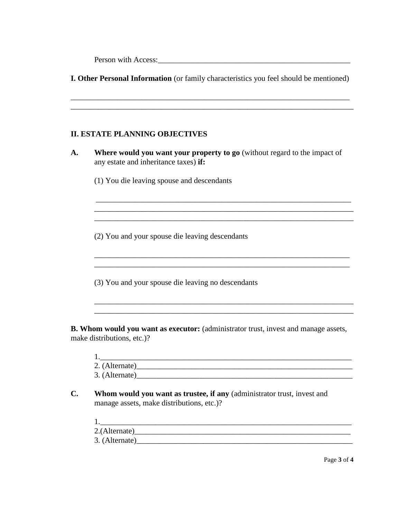Person with Access: United States and States and States and States and States and States and States and States and States and States and States and States and States and States and States and States and States and States a

**I. Other Personal Information** (or family characteristics you feel should be mentioned)

\_\_\_\_\_\_\_\_\_\_\_\_\_\_\_\_\_\_\_\_\_\_\_\_\_\_\_\_\_\_\_\_\_\_\_\_\_\_\_\_\_\_\_\_\_\_\_\_\_\_\_\_\_\_\_\_\_\_\_\_\_\_\_\_\_\_\_\_\_\_\_

### **II. ESTATE PLANNING OBJECTIVES**

**A. Where would you want your property to go** (without regard to the impact of any estate and inheritance taxes) **if:**

\_\_\_\_\_\_\_\_\_\_\_\_\_\_\_\_\_\_\_\_\_\_\_\_\_\_\_\_\_\_\_\_\_\_\_\_\_\_\_\_\_\_\_\_\_\_\_\_\_\_\_\_\_\_\_\_\_\_\_\_\_\_\_\_\_

(1) You die leaving spouse and descendants

(2) You and your spouse die leaving descendants

(3) You and your spouse die leaving no descendants

**B. Whom would you want as executor:** (administrator trust, invest and manage assets, make distributions, etc.)?

| 2. (Alternate) |  |
|----------------|--|
| 3. (Alternate) |  |

\_\_\_\_\_\_\_\_\_\_\_\_\_\_\_\_\_\_\_\_\_\_\_\_\_\_\_\_\_\_\_\_\_\_\_\_\_\_\_\_\_\_\_\_\_\_\_\_\_\_\_\_\_\_\_\_\_\_\_\_\_\_\_\_\_

\_\_\_\_\_\_\_\_\_\_\_\_\_\_\_\_\_\_\_\_\_\_\_\_\_\_\_\_\_\_\_\_\_\_\_\_\_\_\_\_\_\_\_\_\_\_\_\_\_\_\_\_\_\_\_\_\_\_\_\_\_\_\_\_\_\_ \_\_\_\_\_\_\_\_\_\_\_\_\_\_\_\_\_\_\_\_\_\_\_\_\_\_\_\_\_\_\_\_\_\_\_\_\_\_\_\_\_\_\_\_\_\_\_\_\_\_\_\_\_\_\_\_\_\_\_\_\_\_\_\_\_\_

- **C. Whom would you want as trustee, if any** (administrator trust, invest and manage assets, make distributions, etc.)?
	- $1.$  $2.({\rm Alternative})$  $3. (Alternate)$